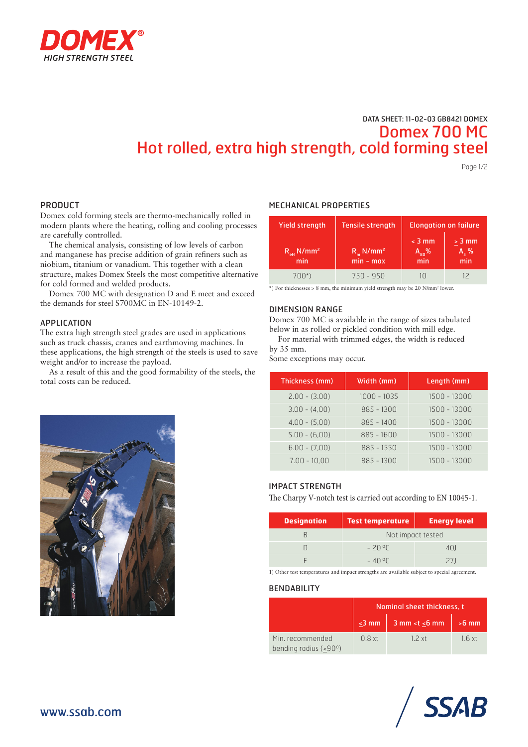

# DATA SHEET: 11-02-03 GB8421 DOMEX Domex 700 MC Hot rolled, extra high strength, cold forming steel

Page 1/2

### PRODUCT

Domex cold forming steels are thermo-mechanically rolled in modern plants where the heating, rolling and cooling processes are carefully controlled.

The chemical analysis, consisting of low levels of carbon and manganese has precise addition of grain refiners such as niobium, titanium or vanadium. This together with a clean structure, makes Domex Steels the most competitive alternative for cold formed and welded products.

Domex 700 MC with designation D and E meet and exceed the demands for steel S700MC in EN-10149-2.

#### APPLICATION

The extra high strength steel grades are used in applications such as truck chassis, cranes and earthmoving machines. In these applications, the high strength of the steels is used to save weight and/or to increase the payload.

As a result of this and the good formability of the steels, the total costs can be reduced.



| <b>Yield strength</b>                     | <b>Tensile strength</b>                  | <b>Elongation on failure</b>  |                              |  |
|-------------------------------------------|------------------------------------------|-------------------------------|------------------------------|--|
| $R_{\text{eff}}$ N/mm <sup>2</sup><br>min | $R_{m}$ N/mm <sup>2</sup><br>$min - max$ | $<$ 3 mm<br>$A_{80}$ %<br>min | $> 3$ mm<br>$A_{5}$ %<br>min |  |
| 700*)                                     | $750 - 950$                              |                               |                              |  |

\*) For thicknesses > 8 mm, the minimum yield strength may be 20 N/mm2 lower.

#### DIMENSION RANGE

Domex 700 MC is available in the range of sizes tabulated below in as rolled or pickled condition with mill edge.

For material with trimmed edges, the width is reduced by 35 mm.

Some exceptions may occur.

| Thickness (mm)  | Width (mm)   | Length (mm)  |
|-----------------|--------------|--------------|
| $2.00 - (3.00)$ | 1000 - 1035  | 1500 - 13000 |
| $3.00 - (4.00)$ | $885 - 1300$ | 1500 - 13000 |
| $4.00 - (5.00)$ | $885 - 1400$ | 1500 - 13000 |
| $5.00 - (6.00)$ | $885 - 1600$ | 1500 - 13000 |
| $6.00 - (7.00)$ | $885 - 1550$ | 1500 - 13000 |
| $7.00 - 10.00$  | $885 - 1300$ | 1500 - 13000 |

#### IMPACT STRENGTH

The Charpy V-notch test is carried out according to EN 10045-1.

| <b>Designation</b> | <b>Test temperature</b> | <b>Energy level</b> |  |  |
|--------------------|-------------------------|---------------------|--|--|
|                    | Not impact tested       |                     |  |  |
|                    | -2006                   | 401                 |  |  |
|                    | $-40°$                  | 211                 |  |  |

1) Other test temperatures and impact strengths are available subject to special agreement.

### **BENDABILITY**

|                                                  | Nominal sheet thickness, t |                                  |         |  |
|--------------------------------------------------|----------------------------|----------------------------------|---------|--|
|                                                  | $\leq$ 3 mm $\parallel$    | $3$ mm <t <math="">\leq 6 mm</t> | $>6$ mm |  |
| Min. recommended<br>bending radius $(-90^\circ)$ | 0.8xt                      | 12xt                             | 1.6xt   |  |